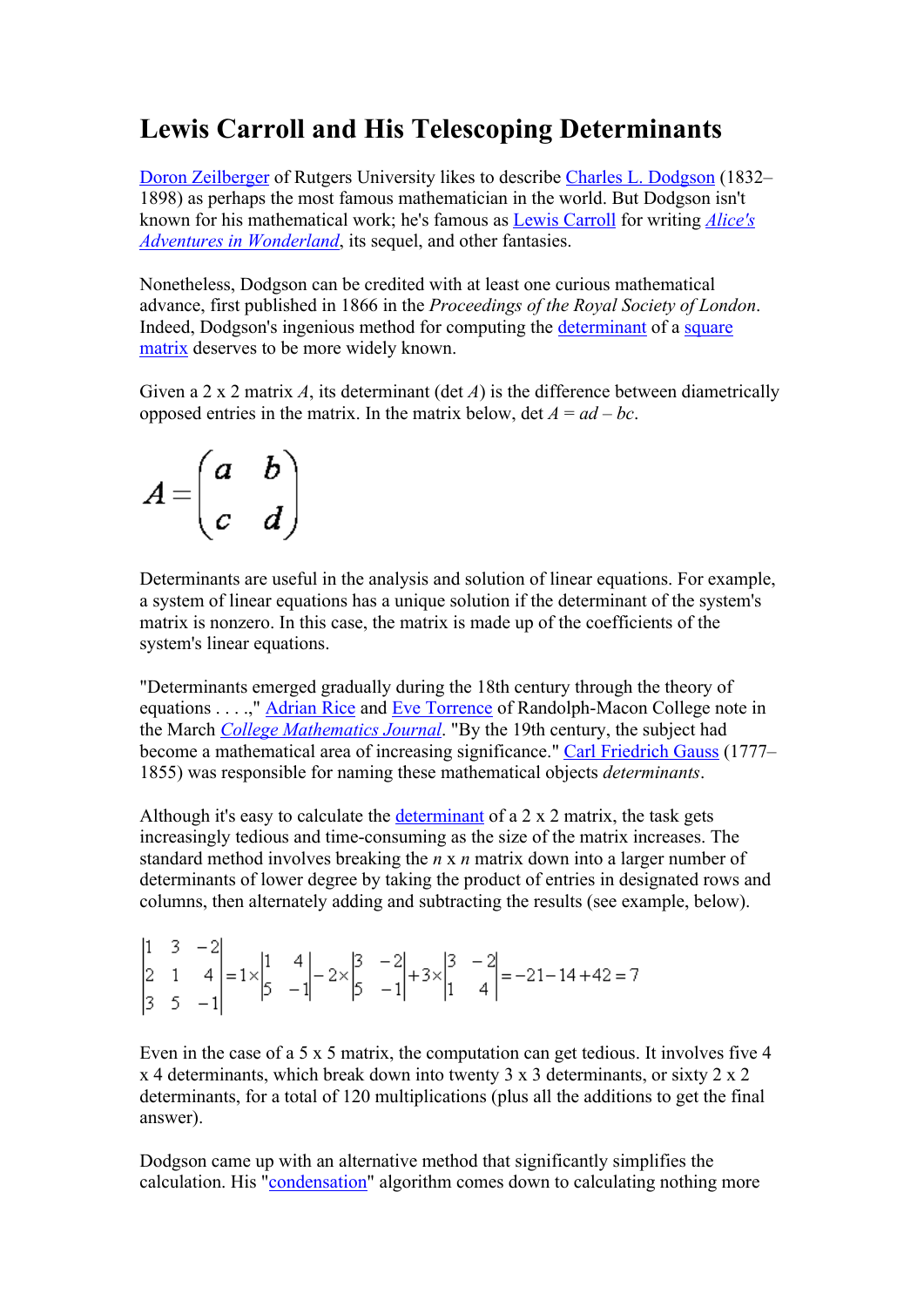## **Lewis Carroll and His Telescoping Determinants**

Doron Zeilberger of Rutgers University likes to describe Charles L. Dodgson (1832– 1898) as perhaps the most famous mathematician in the world. But Dodgson isn't known for his mathematical work; he's famous as Lewis Carroll for writing *Alice's Adventures in Wonderland*, its sequel, and other fantasies.

Nonetheless, Dodgson can be credited with at least one curious mathematical advance, first published in 1866 in the *Proceedings of the Royal Society of London*. Indeed, Dodgson's ingenious method for computing the determinant of a square matrix deserves to be more widely known.

Given a 2 x 2 matrix *A*, its determinant (det *A*) is the difference between diametrically opposed entries in the matrix. In the matrix below,  $\det A = ad - bc$ .

$$
A = \begin{pmatrix} a & b \\ c & d \end{pmatrix}
$$

Determinants are useful in the analysis and solution of linear equations. For example, a system of linear equations has a unique solution if the determinant of the system's matrix is nonzero. In this case, the matrix is made up of the coefficients of the system's linear equations.

"Determinants emerged gradually during the 18th century through the theory of equations . . . .," Adrian Rice and Eve Torrence of Randolph-Macon College note in the March *College Mathematics Journal*. "By the 19th century, the subject had become a mathematical area of increasing significance." Carl Friedrich Gauss (1777– 1855) was responsible for naming these mathematical objects *determinants*.

Although it's easy to calculate the determinant of a 2 x 2 matrix, the task gets increasingly tedious and time-consuming as the size of the matrix increases. The standard method involves breaking the *n* x *n* matrix down into a larger number of determinants of lower degree by taking the product of entries in designated rows and columns, then alternately adding and subtracting the results (see example, below).

 $\begin{vmatrix} 1 & 3 & -2 \\ 2 & 1 & 4 \\ 3 & 5 & -1 \end{vmatrix} = 1 \times \begin{vmatrix} 1 & 4 \\ 5 & -1 \end{vmatrix} - 2 \times \begin{vmatrix} 3 & -2 \\ 5 & -1 \end{vmatrix} + 3 \times \begin{vmatrix} 3 & -2 \\ 1 & 4 \end{vmatrix} = -21 - 14 + 42 = 7$ 

Even in the case of a 5 x 5 matrix, the computation can get tedious. It involves five 4 x 4 determinants, which break down into twenty 3 x 3 determinants, or sixty 2 x 2 determinants, for a total of 120 multiplications (plus all the additions to get the final answer).

Dodgson came up with an alternative method that significantly simplifies the calculation. His "condensation" algorithm comes down to calculating nothing more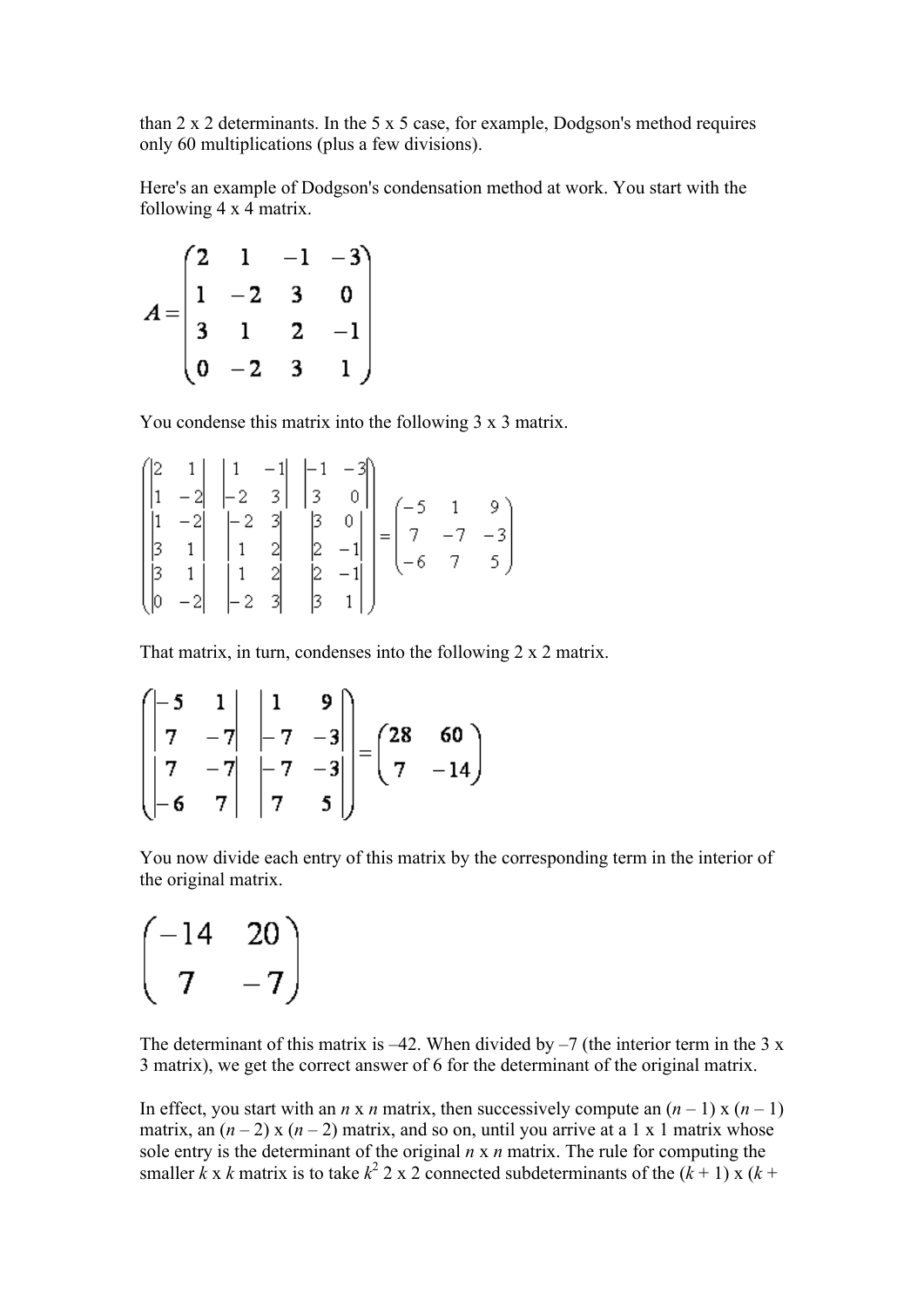than 2 x 2 determinants. In the 5 x 5 case, for example, Dodgson's method requires only 60 multiplications (plus a few divisions).

Here's an example of Dodgson's condensation method at work. You start with the following 4 x 4 matrix.

$$
A = \begin{pmatrix} 2 & 1 & -1 & -3 \\ 1 & -2 & 3 & 0 \\ 3 & 1 & 2 & -1 \\ 0 & -2 & 3 & 1 \end{pmatrix}
$$

You condense this matrix into the following 3 x 3 matrix.

$$
\begin{pmatrix}\n2 & 1 & 1 & -1 & -1 & -3 \\
1 & -2 & -2 & 3 & 3 & 0 \\
1 & -2 & -2 & 3 & 3 & 0 \\
3 & 1 & 1 & 2 & 2 & -1 \\
3 & 1 & 1 & 2 & 2 & -1 \\
3 & 1 & -2 & -2 & 3 & 3\n\end{pmatrix} = \begin{pmatrix}\n-5 & 1 & 9 \\
7 & -7 & -3 \\
-6 & 7 & 5\n\end{pmatrix}
$$

That matrix, in turn, condenses into the following 2 x 2 matrix.

$$
\begin{pmatrix}\n-5 & 1 & 1 & 9 \\
7 & -7 & -7 & -3 \\
7 & -7 & -7 & -3 \\
-6 & 7 & 7 & 5\n\end{pmatrix} = \begin{pmatrix}\n28 & 60 \\
7 & -14\n\end{pmatrix}
$$

You now divide each entry of this matrix by the corresponding term in the interior of the original matrix.

 $\begin{pmatrix} -14 & 20 \\ 7 & -7 \end{pmatrix}$ 

The determinant of this matrix is  $-42$ . When divided by  $-7$  (the interior term in the 3 x 3 matrix), we get the correct answer of 6 for the determinant of the original matrix.

In effect, you start with an *n* x *n* matrix, then successively compute an  $(n - 1)$  x  $(n - 1)$ matrix, an  $(n-2)$  x  $(n-2)$  matrix, and so on, until you arrive at a 1 x 1 matrix whose sole entry is the determinant of the original *n* x *n* matrix. The rule for computing the smaller  $\vec{k} \times \vec{k}$  matrix is to take  $k^2$  2 x 2 connected subdeterminants of the  $(\vec{k} + 1) \times (\vec{k} + \vec{k})$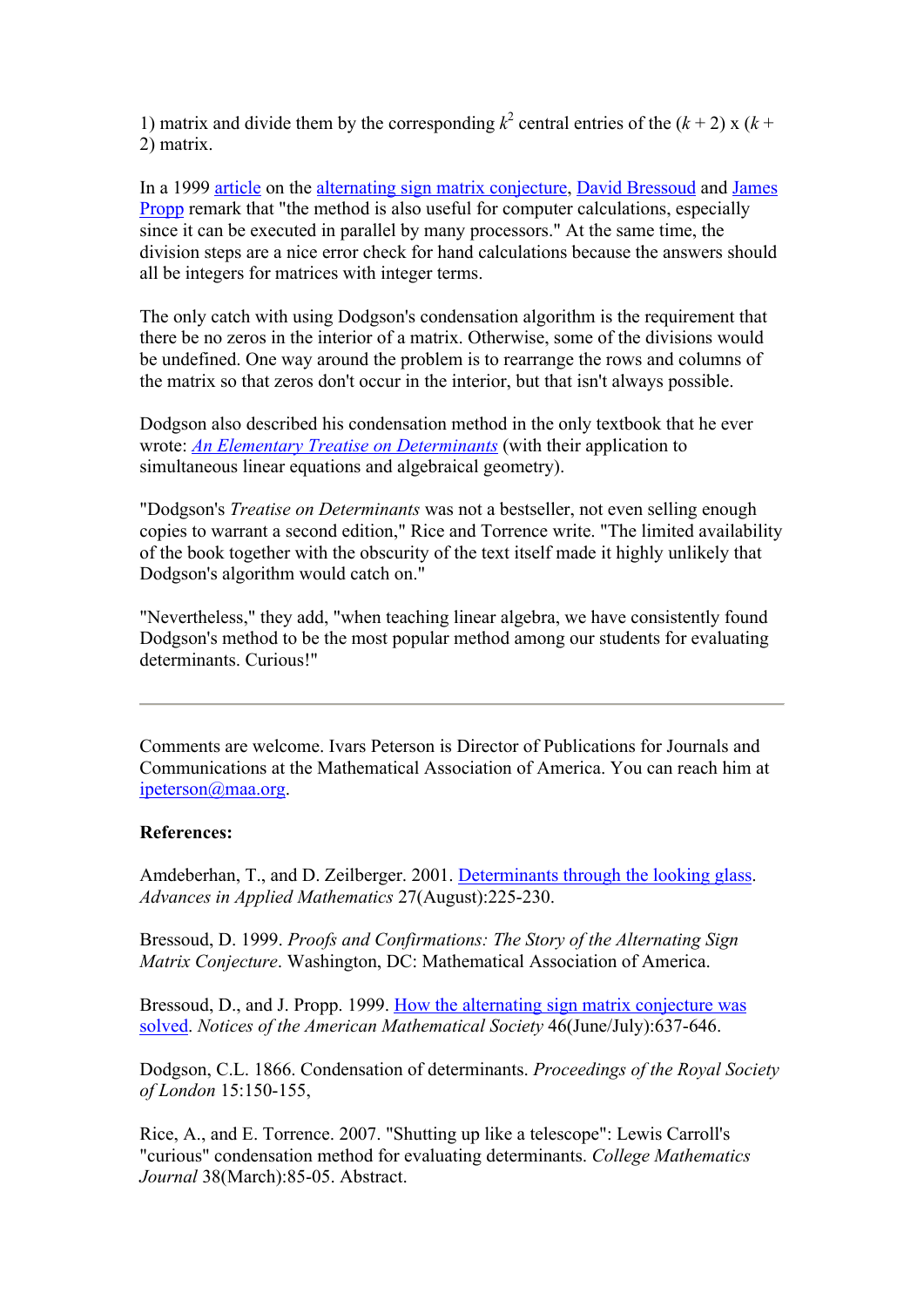1) matrix and divide them by the corresponding  $k^2$  central entries of the  $(k+2)$  x  $(k+2)$ 2) matrix.

In a 1999 article on the alternating sign matrix conjecture, David Bressoud and James Propp remark that "the method is also useful for computer calculations, especially since it can be executed in parallel by many processors." At the same time, the division steps are a nice error check for hand calculations because the answers should all be integers for matrices with integer terms.

The only catch with using Dodgson's condensation algorithm is the requirement that there be no zeros in the interior of a matrix. Otherwise, some of the divisions would be undefined. One way around the problem is to rearrange the rows and columns of the matrix so that zeros don't occur in the interior, but that isn't always possible.

Dodgson also described his condensation method in the only textbook that he ever wrote: *An Elementary Treatise on Determinants* (with their application to simultaneous linear equations and algebraical geometry).

"Dodgson's *Treatise on Determinants* was not a bestseller, not even selling enough copies to warrant a second edition," Rice and Torrence write. "The limited availability of the book together with the obscurity of the text itself made it highly unlikely that Dodgson's algorithm would catch on."

"Nevertheless," they add, "when teaching linear algebra, we have consistently found Dodgson's method to be the most popular method among our students for evaluating determinants. Curious!"

Comments are welcome. Ivars Peterson is Director of Publications for Journals and Communications at the Mathematical Association of America. You can reach him at ipeterson@maa.org.

## **References:**

Amdeberhan, T., and D. Zeilberger. 2001. Determinants through the looking glass. *Advances in Applied Mathematics* 27(August):225-230.

Bressoud, D. 1999. *Proofs and Confirmations: The Story of the Alternating Sign Matrix Conjecture*. Washington, DC: Mathematical Association of America.

Bressoud, D., and J. Propp. 1999. How the alternating sign matrix conjecture was solved. *Notices of the American Mathematical Society* 46(June/July):637-646.

Dodgson, C.L. 1866. Condensation of determinants. *Proceedings of the Royal Society of London* 15:150-155,

Rice, A., and E. Torrence. 2007. "Shutting up like a telescope": Lewis Carroll's "curious" condensation method for evaluating determinants. *College Mathematics Journal* 38(March):85-05. Abstract.